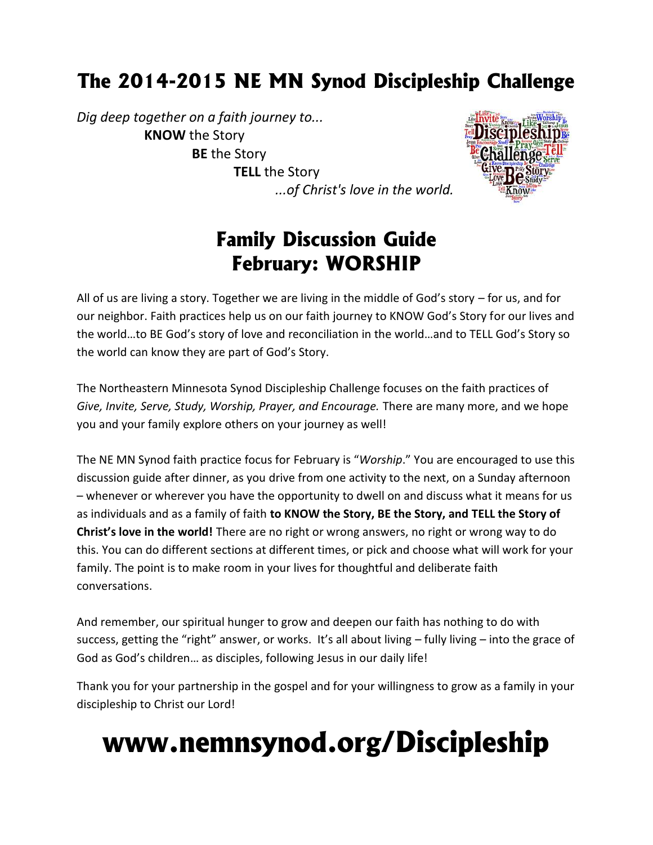# **The 2014-2015 NE MN Synod Discipleship Challenge**

*Dig deep together on a faith journey to...* **KNOW** the Story **BE** the Story **TELL** the Story



# **Family Discussion Guide February: WORSHIP**

*...of Christ's love in the world.*

All of us are living a story. Together we are living in the middle of God's story – for us, and for our neighbor. Faith practices help us on our faith journey to KNOW God's Story for our lives and the world…to BE God's story of love and reconciliation in the world…and to TELL God's Story so the world can know they are part of God's Story.

The Northeastern Minnesota Synod Discipleship Challenge focuses on the faith practices of *Give, Invite, Serve, Study, Worship, Prayer, and Encourage.* There are many more, and we hope you and your family explore others on your journey as well!

The NE MN Synod faith practice focus for February is "*Worship*." You are encouraged to use this discussion guide after dinner, as you drive from one activity to the next, on a Sunday afternoon – whenever or wherever you have the opportunity to dwell on and discuss what it means for us as individuals and as a family of faith **to KNOW the Story, BE the Story, and TELL the Story of Christ's love in the world!** There are no right or wrong answers, no right or wrong way to do this. You can do different sections at different times, or pick and choose what will work for your family. The point is to make room in your lives for thoughtful and deliberate faith conversations.

And remember, our spiritual hunger to grow and deepen our faith has nothing to do with success, getting the "right" answer, or works. It's all about living – fully living – into the grace of God as God's children… as disciples, following Jesus in our daily life!

Thank you for your partnership in the gospel and for your willingness to grow as a family in your discipleship to Christ our Lord!

# **www.nemnsynod.org/Discipleship**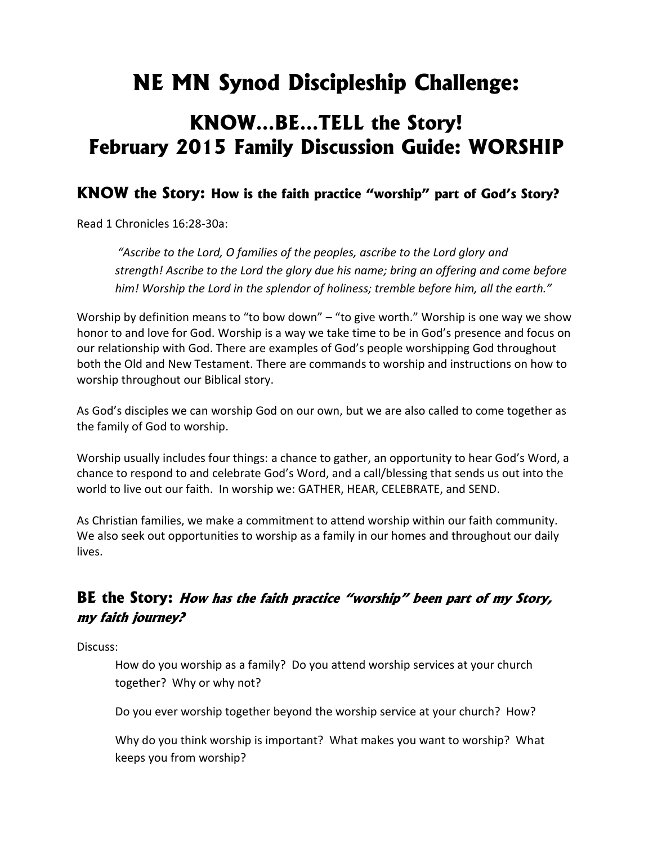# **NE MN Synod Discipleship Challenge:**

## **KNOW…BE…TELL the Story! February 2015 Family Discussion Guide: WORSHIP**

## **KNOW the Story: How is the faith practice "worship" part of God's Story?**

Read 1 Chronicles 16:28-30a:

*"Ascribe to the Lord, O families of the peoples, ascribe to the Lord glory and strength! Ascribe to the Lord the glory due his name; bring an offering and come before him! Worship the Lord in the splendor of holiness; tremble before him, all the earth."*

Worship by definition means to "to bow down" – "to give worth." Worship is one way we show honor to and love for God. Worship is a way we take time to be in God's presence and focus on our relationship with God. There are examples of God's people worshipping God throughout both the Old and New Testament. There are commands to worship and instructions on how to worship throughout our Biblical story.

As God's disciples we can worship God on our own, but we are also called to come together as the family of God to worship.

Worship usually includes four things: a chance to gather, an opportunity to hear God's Word, a chance to respond to and celebrate God's Word, and a call/blessing that sends us out into the world to live out our faith. In worship we: GATHER, HEAR, CELEBRATE, and SEND.

As Christian families, we make a commitment to attend worship within our faith community. We also seek out opportunities to worship as a family in our homes and throughout our daily lives.

## **BE the Story:** *How has the faith practice "worship" been part of my Story, my faith journey?*

Discuss:

How do you worship as a family? Do you attend worship services at your church together? Why or why not?

Do you ever worship together beyond the worship service at your church? How?

Why do you think worship is important? What makes you want to worship? What keeps you from worship?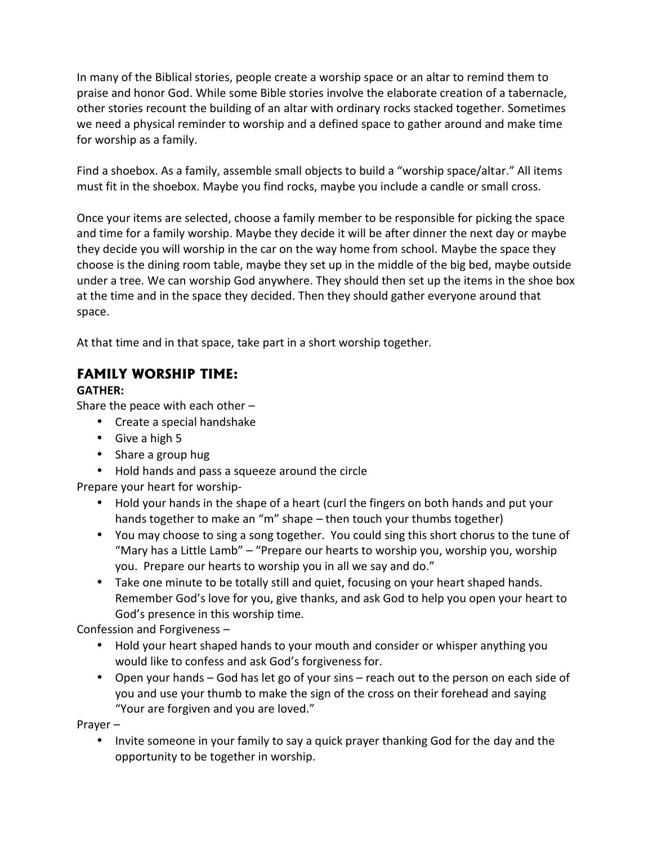In many of the Biblical stories, people create a worship space or an altar to remind them to praise and honor God. While some Bible stories involve the elaborate creation of a tabernacle, other stories recount the building of an altar with ordinary rocks stacked together. Sometimes we need a physical reminder to worship and a defined space to gather around and make time for worship as a family.

Find a shoebox. As a family, assemble small objects to build a "worship space/altar." All items must fit in the shoebox. Maybe you find rocks, maybe you include a candle or small cross.

Once your items are selected, choose a family member to be responsible for picking the space and time for a family worship. Maybe they decide it will be after dinner the next day or maybe they decide you will worship in the car on the way home from school. Maybe the space they choose is the dining room table, maybe they set up in the middle of the big bed, maybe outside under a tree. We can worship God anywhere. They should then set up the items in the shoe box at the time and in the space they decided. Then they should gather everyone around that space.

At that time and in that space, take part in a short worship together.

## **FAMILY WORSHIP TIME:**

#### **GATHER:**

Share the peace with each other –

- Create a special handshake
- Give a high 5
- Share a group hug
- Hold hands and pass a squeeze around the circle

Prepare your heart for worship-

- Hold your hands in the shape of a heart (curl the fingers on both hands and put your hands together to make an "m" shape – then touch your thumbs together)
- You may choose to sing a song together. You could sing this short chorus to the tune of "Mary has a Little Lamb" – "Prepare our hearts to worship you, worship you, worship you. Prepare our hearts to worship you in all we say and do."
- Take one minute to be totally still and quiet, focusing on your heart shaped hands. Remember God's love for you, give thanks, and ask God to help you open your heart to God's presence in this worship time.

Confession and Forgiveness –

- Hold your heart shaped hands to your mouth and consider or whisper anything you would like to confess and ask God's forgiveness for.
- Open your hands God has let go of your sins reach out to the person on each side of you and use your thumb to make the sign of the cross on their forehead and saying "Your are forgiven and you are loved."

Prayer –

• Invite someone in your family to say a quick prayer thanking God for the day and the opportunity to be together in worship.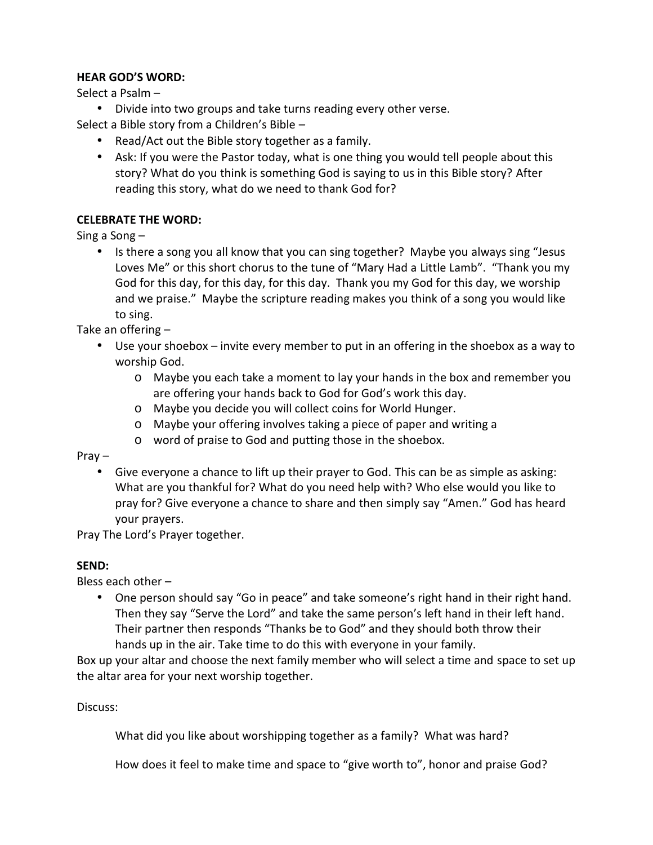#### **HEAR GOD'S WORD:**

Select a Psalm –

Divide into two groups and take turns reading every other verse.

Select a Bible story from a Children's Bible –

- Read/Act out the Bible story together as a family.
- Ask: If you were the Pastor today, what is one thing you would tell people about this story? What do you think is something God is saying to us in this Bible story? After reading this story, what do we need to thank God for?

#### **CELEBRATE THE WORD:**

Sing a Song –

• Is there a song you all know that you can sing together? Maybe you always sing "Jesus Loves Me" or this short chorus to the tune of "Mary Had a Little Lamb". "Thank you my God for this day, for this day, for this day. Thank you my God for this day, we worship and we praise." Maybe the scripture reading makes you think of a song you would like to sing.

Take an offering –

- Use your shoebox invite every member to put in an offering in the shoebox as a way to worship God.
	- o Maybe you each take a moment to lay your hands in the box and remember you are offering your hands back to God for God's work this day.
	- o Maybe you decide you will collect coins for World Hunger.
	- o Maybe your offering involves taking a piece of paper and writing a
	- o word of praise to God and putting those in the shoebox.

Pray –

 Give everyone a chance to lift up their prayer to God. This can be as simple as asking: What are you thankful for? What do you need help with? Who else would you like to pray for? Give everyone a chance to share and then simply say "Amen." God has heard your prayers.

Pray The Lord's Prayer together.

#### **SEND:**

Bless each other –

 One person should say "Go in peace" and take someone's right hand in their right hand. Then they say "Serve the Lord" and take the same person's left hand in their left hand. Their partner then responds "Thanks be to God" and they should both throw their hands up in the air. Take time to do this with everyone in your family.

Box up your altar and choose the next family member who will select a time and space to set up the altar area for your next worship together.

Discuss:

What did you like about worshipping together as a family? What was hard?

How does it feel to make time and space to "give worth to", honor and praise God?